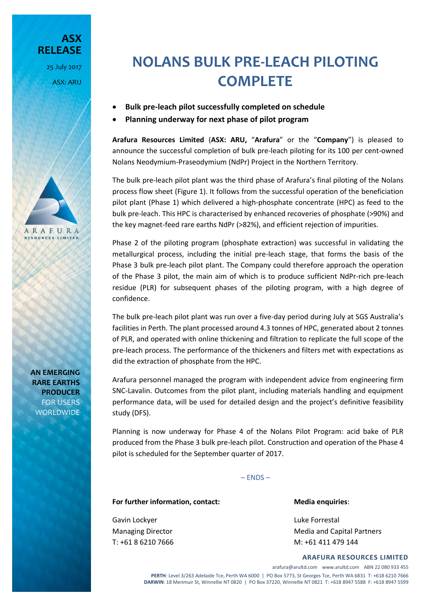25 July 2017 ASX: ARU

**RELEASE**

**ASX** 

## **NOLANS BULK PRE-LEACH PILOTING COMPLETE**

- **Bulk pre-leach pilot successfully completed on schedule**
- **Planning underway for next phase of pilot program**

**Arafura Resources Limited** (**ASX: ARU,** "**Arafura**" or the "**Company**") is pleased to announce the successful completion of bulk pre-leach piloting for its 100 per cent-owned Nolans Neodymium-Praseodymium (NdPr) Project in the Northern Territory.

The bulk pre-leach pilot plant was the third phase of Arafura's final piloting of the Nolans process flow sheet (Figure 1). It follows from the successful operation of the beneficiation pilot plant (Phase 1) which delivered a high-phosphate concentrate (HPC) as feed to the bulk pre-leach. This HPC is characterised by enhanced recoveries of phosphate (>90%) and the key magnet-feed rare earths NdPr (>82%), and efficient rejection of impurities.

Phase 2 of the piloting program (phosphate extraction) was successful in validating the metallurgical process, including the initial pre-leach stage, that forms the basis of the Phase 3 bulk pre-leach pilot plant. The Company could therefore approach the operation of the Phase 3 pilot, the main aim of which is to produce sufficient NdPr-rich pre-leach residue (PLR) for subsequent phases of the piloting program, with a high degree of confidence.

The bulk pre-leach pilot plant was run over a five-day period during July at SGS Australia's facilities in Perth. The plant processed around 4.3 tonnes of HPC, generated about 2 tonnes of PLR, and operated with online thickening and filtration to replicate the full scope of the pre-leach process. The performance of the thickeners and filters met with expectations as did the extraction of phosphate from the HPC.

Arafura personnel managed the program with independent advice from engineering firm SNC-Lavalin. Outcomes from the pilot plant, including materials handling and equipment performance data, will be used for detailed design and the project's definitive feasibility study (DFS).

Planning is now underway for Phase 4 of the Nolans Pilot Program: acid bake of PLR produced from the Phase 3 bulk pre-leach pilot. Construction and operation of the Phase 4 pilot is scheduled for the September quarter of 2017.

 $-$  FNDS  $-$ 

## For further information, contact: Media enquiries:

Gavin Lockyer **Luke Forrestal** 

Managing Director **Media and Capital Partners** Media and Capital Partners T: +61 8 6210 7666 M: +61 411 479 144

## **ARAFURA RESOURCES LIMITED**

arafura@arultd.com www.arultd.com ABN 22 080 933 455 **PERTH**: Level 3/263 Adelaide Tce, Perth WA 6000 | PO Box 5773, St Georges Tce, Perth WA 6831 T: +618 6210 7666 **DARWIN**: 18 Menmuir St, Winnellie NT 0820 | PO Box 37220, Winnellie NT 0821 T: +618 8947 5588 F: +618 8947 5599

**AN EMERGING RARE EARTHS PRODUCER** FOR USERS **WORLDWIDE** 

ARAFURA **RESOURCES LIMITED**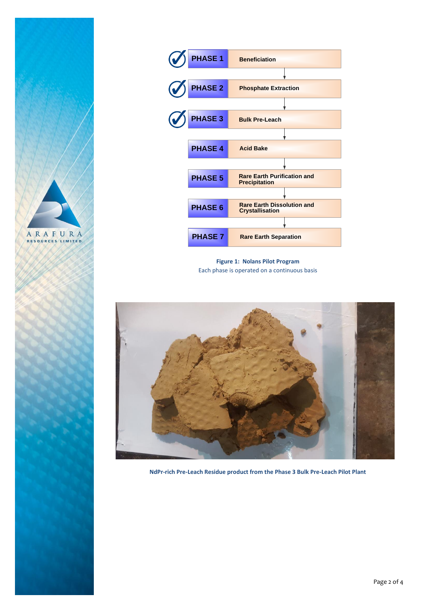



**Figure 1: Nolans Pilot Program** Each phase is operated on a continuous basis



**NdPr-rich Pre-Leach Residue product from the Phase 3 Bulk Pre-Leach Pilot Plant**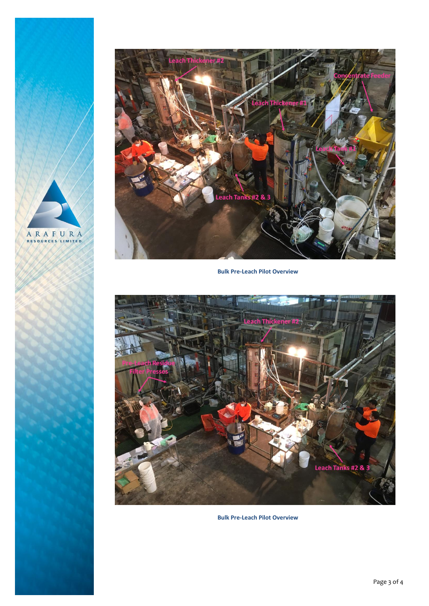



**Bulk Pre-Leach Pilot Overview**



**Bulk Pre-Leach Pilot Overview**